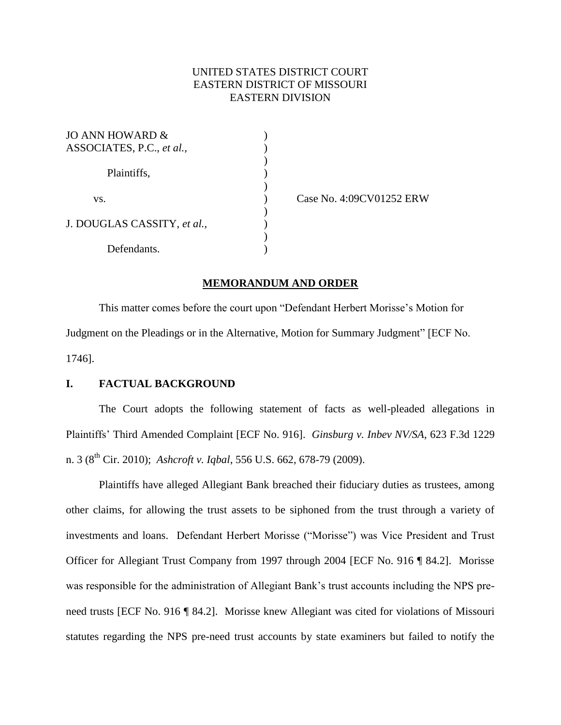# UNITED STATES DISTRICT COURT EASTERN DISTRICT OF MISSOURI EASTERN DIVISION

| JO ANN HOWARD &             |  |
|-----------------------------|--|
| ASSOCIATES, P.C., et al.,   |  |
| Plaintiffs,                 |  |
|                             |  |
|                             |  |
| VS.                         |  |
| J. DOUGLAS CASSITY, et al., |  |
|                             |  |
|                             |  |
| Defendants.                 |  |

Case No. 4:09CV01252 ERW

#### **MEMORANDUM AND ORDER**

This matter comes before the court upon "Defendant Herbert Morisse's Motion for Judgment on the Pleadings or in the Alternative, Motion for Summary Judgment" [ECF No. 1746].

### **I. FACTUAL BACKGROUND**

The Court adopts the following statement of facts as well-pleaded allegations in Plaintiffs' Third Amended Complaint [ECF No. 916]. *Ginsburg v. Inbev NV/SA*, 623 F.3d 1229 n. 3 (8th Cir. 2010); *Ashcroft v. Iqbal*, 556 U.S. 662, 678-79 (2009).

Plaintiffs have alleged Allegiant Bank breached their fiduciary duties as trustees, among other claims, for allowing the trust assets to be siphoned from the trust through a variety of investments and loans. Defendant Herbert Morisse ("Morisse") was Vice President and Trust Officer for Allegiant Trust Company from 1997 through 2004 [ECF No. 916 ¶ 84.2]. Morisse was responsible for the administration of Allegiant Bank's trust accounts including the NPS preneed trusts [ECF No. 916 ¶ 84.2]. Morisse knew Allegiant was cited for violations of Missouri statutes regarding the NPS pre-need trust accounts by state examiners but failed to notify the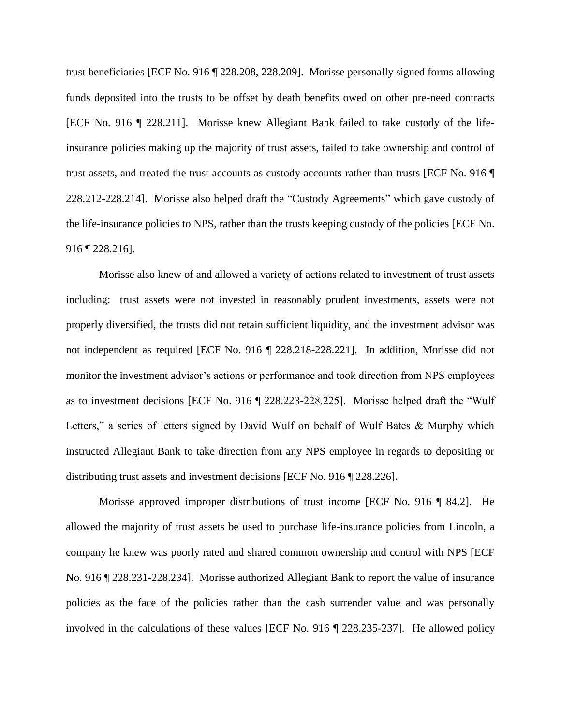trust beneficiaries [ECF No. 916 ¶ 228.208, 228.209]. Morisse personally signed forms allowing funds deposited into the trusts to be offset by death benefits owed on other pre-need contracts [ECF No. 916 ¶ 228.211]. Morisse knew Allegiant Bank failed to take custody of the lifeinsurance policies making up the majority of trust assets, failed to take ownership and control of trust assets, and treated the trust accounts as custody accounts rather than trusts [ECF No. 916 ¶ 228.212-228.214]. Morisse also helped draft the "Custody Agreements" which gave custody of the life-insurance policies to NPS, rather than the trusts keeping custody of the policies [ECF No. 916 ¶ 228.216].

Morisse also knew of and allowed a variety of actions related to investment of trust assets including: trust assets were not invested in reasonably prudent investments, assets were not properly diversified, the trusts did not retain sufficient liquidity, and the investment advisor was not independent as required [ECF No. 916 ¶ 228.218-228.221]. In addition, Morisse did not monitor the investment advisor's actions or performance and took direction from NPS employees as to investment decisions [ECF No. 916 ¶ 228.223-228.225]. Morisse helped draft the "Wulf Letters," a series of letters signed by David Wulf on behalf of Wulf Bates & Murphy which instructed Allegiant Bank to take direction from any NPS employee in regards to depositing or distributing trust assets and investment decisions [ECF No. 916 ¶ 228.226].

Morisse approved improper distributions of trust income [ECF No. 916 ¶ 84.2]. He allowed the majority of trust assets be used to purchase life-insurance policies from Lincoln, a company he knew was poorly rated and shared common ownership and control with NPS [ECF No. 916 ¶ 228.231-228.234]. Morisse authorized Allegiant Bank to report the value of insurance policies as the face of the policies rather than the cash surrender value and was personally involved in the calculations of these values [ECF No. 916 ¶ 228.235-237]. He allowed policy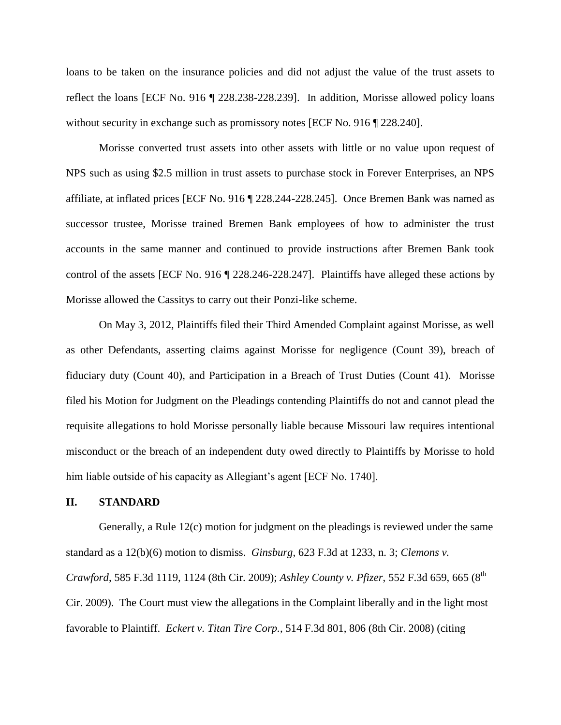loans to be taken on the insurance policies and did not adjust the value of the trust assets to reflect the loans [ECF No. 916 ¶ 228.238-228.239]. In addition, Morisse allowed policy loans without security in exchange such as promissory notes [ECF No. 916 ] 228.240].

Morisse converted trust assets into other assets with little or no value upon request of NPS such as using \$2.5 million in trust assets to purchase stock in Forever Enterprises, an NPS affiliate, at inflated prices [ECF No. 916 ¶ 228.244-228.245]. Once Bremen Bank was named as successor trustee, Morisse trained Bremen Bank employees of how to administer the trust accounts in the same manner and continued to provide instructions after Bremen Bank took control of the assets [ECF No. 916 ¶ 228.246-228.247]. Plaintiffs have alleged these actions by Morisse allowed the Cassitys to carry out their Ponzi-like scheme.

On May 3, 2012, Plaintiffs filed their Third Amended Complaint against Morisse, as well as other Defendants, asserting claims against Morisse for negligence (Count 39), breach of fiduciary duty (Count 40), and Participation in a Breach of Trust Duties (Count 41). Morisse filed his Motion for Judgment on the Pleadings contending Plaintiffs do not and cannot plead the requisite allegations to hold Morisse personally liable because Missouri law requires intentional misconduct or the breach of an independent duty owed directly to Plaintiffs by Morisse to hold him liable outside of his capacity as Allegiant's agent [ECF No. 1740].

#### **II. STANDARD**

Generally, a Rule 12(c) motion for judgment on the pleadings is reviewed under the same standard as a 12(b)(6) motion to dismiss. *Ginsburg*, 623 F.3d at 1233, n. 3; *Clemons v. Crawford*, 585 F.3d 1119, 1124 (8th Cir. 2009); *Ashley County v. Pfizer*, 552 F.3d 659, 665 (8th Cir. 2009). The Court must view the allegations in the Complaint liberally and in the light most favorable to Plaintiff. *Eckert v. Titan Tire Corp.*, 514 F.3d 801, 806 (8th Cir. 2008) (citing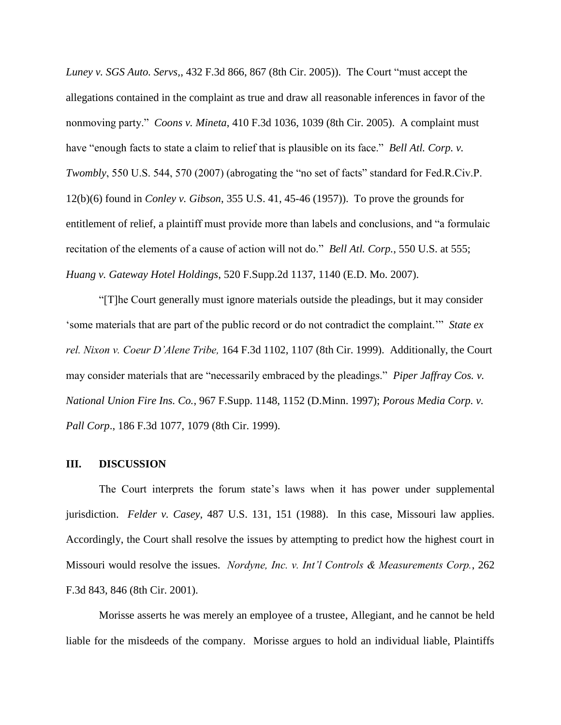*Luney v. SGS Auto. Servs,*, 432 F.3d 866, 867 (8th Cir. 2005)). The Court "must accept the allegations contained in the complaint as true and draw all reasonable inferences in favor of the nonmoving party." *Coons v. Mineta*, 410 F.3d 1036, 1039 (8th Cir. 2005). A complaint must have "enough facts to state a claim to relief that is plausible on its face." *Bell Atl. Corp. v. Twombly*, 550 U.S. 544, 570 (2007) (abrogating the "no set of facts" standard for Fed.R.Civ.P. 12(b)(6) found in *Conley v. Gibson*, 355 U.S. 41, 45-46 (1957)). To prove the grounds for entitlement of relief, a plaintiff must provide more than labels and conclusions, and "a formulaic recitation of the elements of a cause of action will not do." *Bell Atl. Corp.*, 550 U.S. at 555; *Huang v. Gateway Hotel Holdings*, 520 F.Supp.2d 1137, 1140 (E.D. Mo. 2007).

"[T]he Court generally must ignore materials outside the pleadings, but it may consider 'some materials that are part of the public record or do not contradict the complaint.'" *State ex rel. Nixon v. Coeur D'Alene Tribe,* 164 F.3d 1102, 1107 (8th Cir. 1999). Additionally, the Court may consider materials that are "necessarily embraced by the pleadings." *Piper Jaffray Cos. v. National Union Fire Ins. Co.*, 967 F.Supp. 1148, 1152 (D.Minn. 1997); *Porous Media Corp. v. Pall Corp*., 186 F.3d 1077, 1079 (8th Cir. 1999).

### **III. DISCUSSION**

The Court interprets the forum state's laws when it has power under supplemental jurisdiction. *Felder v. Casey*, 487 U.S. 131, 151 (1988). In this case, Missouri law applies. Accordingly, the Court shall resolve the issues by attempting to predict how the highest court in Missouri would resolve the issues. *Nordyne, Inc. v. Int'l Controls & Measurements Corp.*, 262 F.3d 843, 846 (8th Cir. 2001).

Morisse asserts he was merely an employee of a trustee, Allegiant, and he cannot be held liable for the misdeeds of the company. Morisse argues to hold an individual liable, Plaintiffs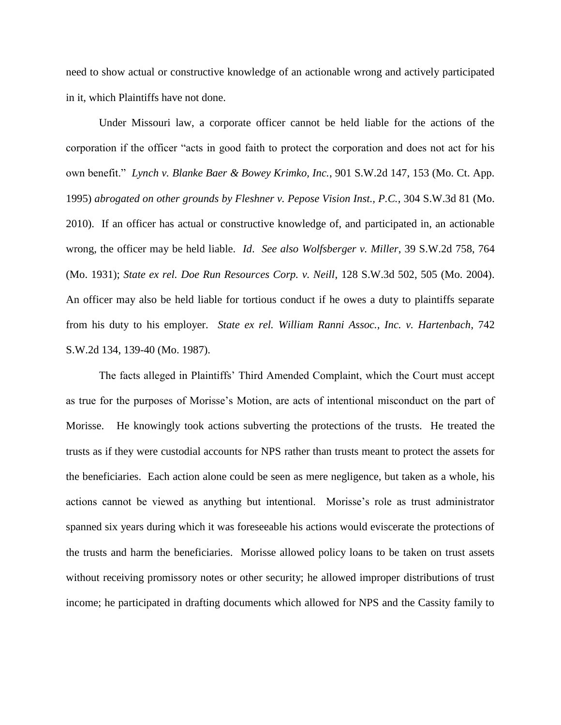need to show actual or constructive knowledge of an actionable wrong and actively participated in it, which Plaintiffs have not done.

Under Missouri law, a corporate officer cannot be held liable for the actions of the corporation if the officer "acts in good faith to protect the corporation and does not act for his own benefit." *Lynch v. Blanke Baer & Bowey Krimko, Inc.*, 901 S.W.2d 147, 153 (Mo. Ct. App. 1995) *abrogated on other grounds by Fleshner v. Pepose Vision Inst., P.C.*, 304 S.W.3d 81 (Mo. 2010). If an officer has actual or constructive knowledge of, and participated in, an actionable wrong, the officer may be held liable. *Id*. *See also Wolfsberger v. Miller*, 39 S.W.2d 758, 764 (Mo. 1931); *State ex rel. Doe Run Resources Corp. v. Neill*, 128 S.W.3d 502, 505 (Mo. 2004). An officer may also be held liable for tortious conduct if he owes a duty to plaintiffs separate from his duty to his employer. *State ex rel. William Ranni Assoc., Inc. v. Hartenbach*, 742 S.W.2d 134, 139-40 (Mo. 1987).

The facts alleged in Plaintiffs' Third Amended Complaint, which the Court must accept as true for the purposes of Morisse's Motion, are acts of intentional misconduct on the part of Morisse. He knowingly took actions subverting the protections of the trusts. He treated the trusts as if they were custodial accounts for NPS rather than trusts meant to protect the assets for the beneficiaries. Each action alone could be seen as mere negligence, but taken as a whole, his actions cannot be viewed as anything but intentional. Morisse's role as trust administrator spanned six years during which it was foreseeable his actions would eviscerate the protections of the trusts and harm the beneficiaries. Morisse allowed policy loans to be taken on trust assets without receiving promissory notes or other security; he allowed improper distributions of trust income; he participated in drafting documents which allowed for NPS and the Cassity family to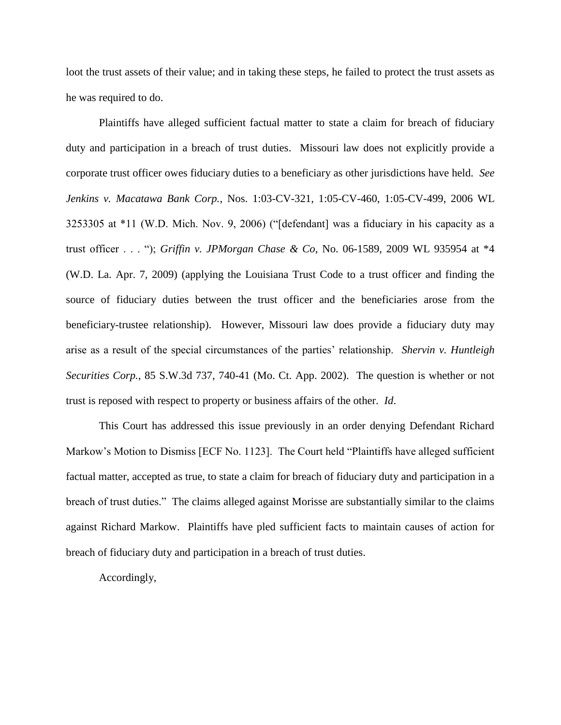loot the trust assets of their value; and in taking these steps, he failed to protect the trust assets as he was required to do.

Plaintiffs have alleged sufficient factual matter to state a claim for breach of fiduciary duty and participation in a breach of trust duties. Missouri law does not explicitly provide a corporate trust officer owes fiduciary duties to a beneficiary as other jurisdictions have held. *See Jenkins v. Macatawa Bank Corp.*, Nos. 1:03-CV-321, 1:05-CV-460, 1:05-CV-499, 2006 WL 3253305 at \*11 (W.D. Mich. Nov. 9, 2006) ("[defendant] was a fiduciary in his capacity as a trust officer . . . "); *Griffin v. JPMorgan Chase & Co*, No. 06-1589, 2009 WL 935954 at \*4 (W.D. La. Apr. 7, 2009) (applying the Louisiana Trust Code to a trust officer and finding the source of fiduciary duties between the trust officer and the beneficiaries arose from the beneficiary-trustee relationship). However, Missouri law does provide a fiduciary duty may arise as a result of the special circumstances of the parties' relationship. *Shervin v. Huntleigh Securities Corp.*, 85 S.W.3d 737, 740-41 (Mo. Ct. App. 2002). The question is whether or not trust is reposed with respect to property or business affairs of the other. *Id*.

This Court has addressed this issue previously in an order denying Defendant Richard Markow's Motion to Dismiss [ECF No. 1123]. The Court held "Plaintiffs have alleged sufficient factual matter, accepted as true, to state a claim for breach of fiduciary duty and participation in a breach of trust duties." The claims alleged against Morisse are substantially similar to the claims against Richard Markow. Plaintiffs have pled sufficient facts to maintain causes of action for breach of fiduciary duty and participation in a breach of trust duties.

Accordingly,